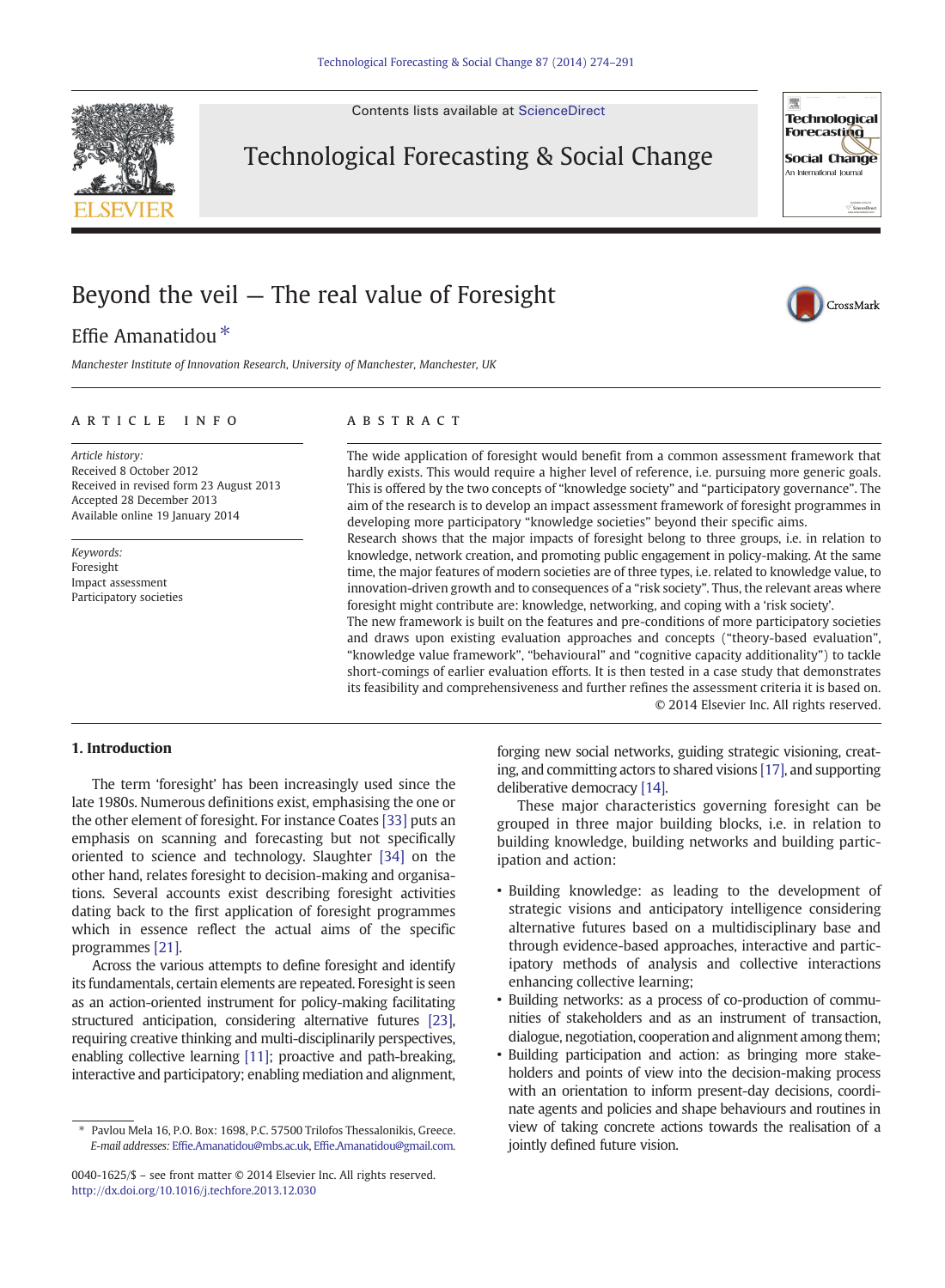Contents lists available at [ScienceDirect](http://www.sciencedirect.com/science/journal/00401625)



骤 **Technological** Forecasting **Social Change** ,<br>An International Iournal

CrossMark

# Technological Forecasting & Social Change

## Beyond the veil — The real value of Foresight

### Effie Amanatidou<sup>\*</sup>

Manchester Institute of Innovation Research, University of Manchester, Manchester, UK

### article info abstract

Article history: Received 8 October 2012 Received in revised form 23 August 2013 Accepted 28 December 2013 Available online 19 January 2014

Keywords: Foresight Impact assessment Participatory societies

The wide application of foresight would benefit from a common assessment framework that hardly exists. This would require a higher level of reference, i.e. pursuing more generic goals. This is offered by the two concepts of "knowledge society" and "participatory governance". The aim of the research is to develop an impact assessment framework of foresight programmes in developing more participatory "knowledge societies" beyond their specific aims.

Research shows that the major impacts of foresight belong to three groups, i.e. in relation to knowledge, network creation, and promoting public engagement in policy-making. At the same time, the major features of modern societies are of three types, i.e. related to knowledge value, to innovation-driven growth and to consequences of a "risk society". Thus, the relevant areas where foresight might contribute are: knowledge, networking, and coping with a 'risk society'.

The new framework is built on the features and pre-conditions of more participatory societies and draws upon existing evaluation approaches and concepts ("theory-based evaluation", "knowledge value framework", "behavioural" and "cognitive capacity additionality") to tackle short-comings of earlier evaluation efforts. It is then tested in a case study that demonstrates its feasibility and comprehensiveness and further refines the assessment criteria it is based on. © 2014 Elsevier Inc. All rights reserved.

### 1. Introduction

The term 'foresight' has been increasingly used since the late 1980s. Numerous definitions exist, emphasising the one or the other element of foresight. For instance Coates [33] puts an emphasis on scanning and forecasting but not specifically oriented to science and technology. Slaughter [34] on the other hand, relates foresight to decision-making and organisations. Several accounts exist describing foresight activities dating back to the first application of foresight programmes which in essence reflect the actual aims of the specific programmes [21].

Across the various attempts to define foresight and identify its fundamentals, certain elements are repeated. Foresight is seen as an action-oriented instrument for policy-making facilitating structured anticipation, considering alternative futures [23], requiring creative thinking and multi-disciplinarily perspectives, enabling collective learning [11]; proactive and path-breaking, interactive and participatory; enabling mediation and alignment,

0040-1625/\$ – see front matter © 2014 Elsevier Inc. All rights reserved. <http://dx.doi.org/10.1016/j.techfore.2013.12.030>

forging new social networks, guiding strategic visioning, creating, and committing actors to shared visions [17], and supporting deliberative democracy [14].

These major characteristics governing foresight can be grouped in three major building blocks, i.e. in relation to building knowledge, building networks and building participation and action:

- Building knowledge: as leading to the development of strategic visions and anticipatory intelligence considering alternative futures based on a multidisciplinary base and through evidence-based approaches, interactive and participatory methods of analysis and collective interactions enhancing collective learning;
- Building networks: as a process of co-production of communities of stakeholders and as an instrument of transaction, dialogue, negotiation, cooperation and alignment among them;
- Building participation and action: as bringing more stakeholders and points of view into the decision-making process with an orientation to inform present-day decisions, coordinate agents and policies and shape behaviours and routines in view of taking concrete actions towards the realisation of a jointly defined future vision.

<sup>⁎</sup> Pavlou Mela 16, P.O. Box: 1698, P.C. 57500 Trilofos Thessalonikis, Greece. E-mail addresses: Effi[e.Amanatidou@mbs.ac.uk,](mailto:Effie.Amanatidou@mbs.ac.uk) Effi[e.Amanatidou@gmail.com.](mailto:Effie.Amanatidou@gmail.com)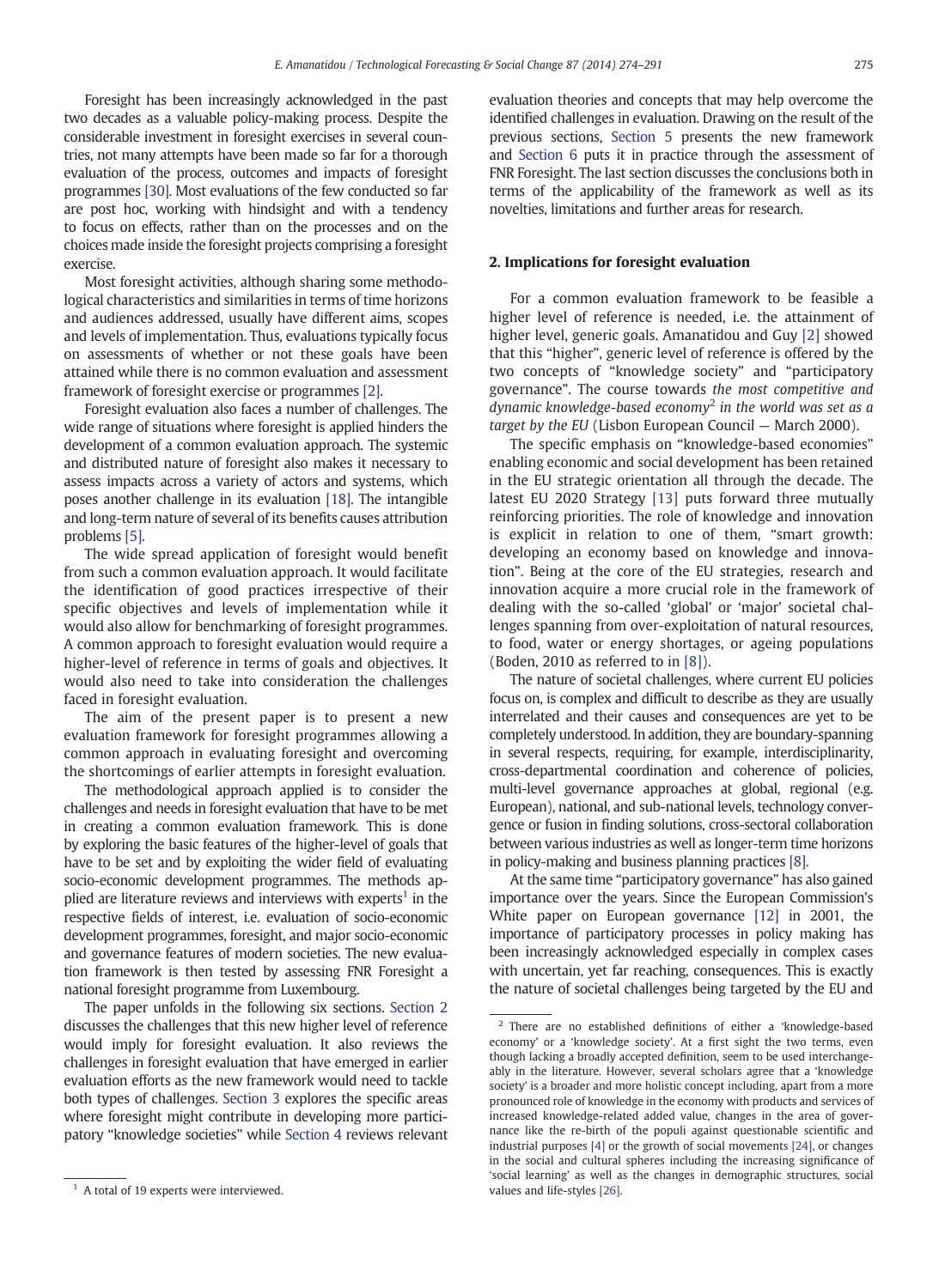Foresight has been increasingly acknowledged in the past two decades as a valuable policy-making process. Despite the considerable investment in foresight exercises in several countries, not many attempts have been made so far for a thorough evaluation of the process, outcomes and impacts of foresight programmes [30]. Most evaluations of the few conducted so far are post hoc, working with hindsight and with a tendency to focus on effects, rather than on the processes and on the choices made inside the foresight projects comprising a foresight exercise.

Most foresight activities, although sharing some methodological characteristics and similarities in terms of time horizons and audiences addressed, usually have different aims, scopes and levels of implementation. Thus, evaluations typically focus on assessments of whether or not these goals have been attained while there is no common evaluation and assessment framework of foresight exercise or programmes [2].

Foresight evaluation also faces a number of challenges. The wide range of situations where foresight is applied hinders the development of a common evaluation approach. The systemic and distributed nature of foresight also makes it necessary to assess impacts across a variety of actors and systems, which poses another challenge in its evaluation [18]. The intangible and long-term nature of several of its benefits causes attribution problems [5].

The wide spread application of foresight would benefit from such a common evaluation approach. It would facilitate the identification of good practices irrespective of their specific objectives and levels of implementation while it would also allow for benchmarking of foresight programmes. A common approach to foresight evaluation would require a higher-level of reference in terms of goals and objectives. It would also need to take into consideration the challenges faced in foresight evaluation.

The aim of the present paper is to present a new evaluation framework for foresight programmes allowing a common approach in evaluating foresight and overcoming the shortcomings of earlier attempts in foresight evaluation.

The methodological approach applied is to consider the challenges and needs in foresight evaluation that have to be met in creating a common evaluation framework. This is done by exploring the basic features of the higher-level of goals that have to be set and by exploiting the wider field of evaluating socio-economic development programmes. The methods applied are literature reviews and interviews with experts<sup>1</sup> in the respective fields of interest, i.e. evaluation of socio-economic development programmes, foresight, and major socio-economic and governance features of modern societies. The new evaluation framework is then tested by assessing FNR Foresight a national foresight programme from Luxembourg.

The paper unfolds in the following six sections. Section 2 discusses the challenges that this new higher level of reference would imply for foresight evaluation. It also reviews the challenges in foresight evaluation that have emerged in earlier evaluation efforts as the new framework would need to tackle both types of challenges. Section 3 explores the specific areas where foresight might contribute in developing more participatory "knowledge societies" while Section 4 reviews relevant evaluation theories and concepts that may help overcome the identified challenges in evaluation. Drawing on the result of the previous sections, Section 5 presents the new framework and Section 6 puts it in practice through the assessment of FNR Foresight. The last section discusses the conclusions both in terms of the applicability of the framework as well as its novelties, limitations and further areas for research.

### 2. Implications for foresight evaluation

For a common evaluation framework to be feasible a higher level of reference is needed, i.e. the attainment of higher level, generic goals. Amanatidou and Guy [2] showed that this "higher", generic level of reference is offered by the two concepts of "knowledge society" and "participatory governance". The course towards the most competitive and dynamic knowledge-based economy<sup>2</sup> in the world was set as a target by the EU (Lisbon European Council — March 2000).

The specific emphasis on "knowledge-based economies" enabling economic and social development has been retained in the EU strategic orientation all through the decade. The latest EU 2020 Strategy [13] puts forward three mutually reinforcing priorities. The role of knowledge and innovation is explicit in relation to one of them, "smart growth: developing an economy based on knowledge and innovation". Being at the core of the EU strategies, research and innovation acquire a more crucial role in the framework of dealing with the so-called 'global' or 'major' societal challenges spanning from over-exploitation of natural resources, to food, water or energy shortages, or ageing populations (Boden, 2010 as referred to in [8]).

The nature of societal challenges, where current EU policies focus on, is complex and difficult to describe as they are usually interrelated and their causes and consequences are yet to be completely understood. In addition, they are boundary-spanning in several respects, requiring, for example, interdisciplinarity, cross-departmental coordination and coherence of policies, multi-level governance approaches at global, regional (e.g. European), national, and sub-national levels, technology convergence or fusion in finding solutions, cross-sectoral collaboration between various industries as well as longer-term time horizons in policy-making and business planning practices [8].

At the same time "participatory governance" has also gained importance over the years. Since the European Commission's White paper on European governance [12] in 2001, the importance of participatory processes in policy making has been increasingly acknowledged especially in complex cases with uncertain, yet far reaching, consequences. This is exactly the nature of societal challenges being targeted by the EU and

<sup>&</sup>lt;sup>1</sup> A total of 19 experts were interviewed.

 $2$  There are no established definitions of either a 'knowledge-based economy' or a 'knowledge society'. At a first sight the two terms, even though lacking a broadly accepted definition, seem to be used interchangeably in the literature. However, several scholars agree that a 'knowledge society' is a broader and more holistic concept including, apart from a more pronounced role of knowledge in the economy with products and services of increased knowledge-related added value, changes in the area of governance like the re-birth of the populi against questionable scientific and industrial purposes [\[4\]](#page--1-0) or the growth of social movements [\[24\],](#page--1-0) or changes in the social and cultural spheres including the increasing significance of 'social learning' as well as the changes in demographic structures, social values and life-styles [\[26\]](#page--1-0).